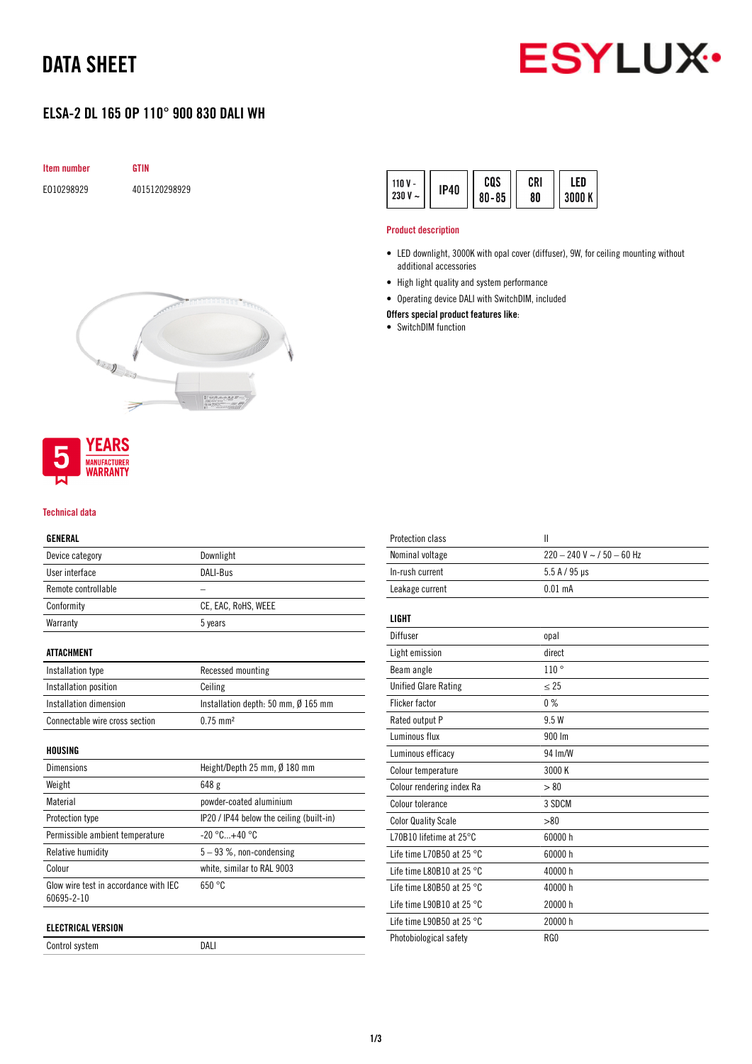## DATA SHEET



## ELSA-2 DL 165 OP 110° 900 830 DALI WH







#### Technical data

## GENERAL

| Device category                                     | Downlight                                |  |
|-----------------------------------------------------|------------------------------------------|--|
| User interface                                      | DALI-Bus                                 |  |
| Remote controllable                                 |                                          |  |
| Conformity                                          | CE, EAC, RoHS, WEEE                      |  |
| Warranty                                            | 5 years                                  |  |
| <b>ATTACHMENT</b>                                   |                                          |  |
| Installation type                                   | Recessed mounting                        |  |
| Installation position                               | Ceiling                                  |  |
| Installation dimension                              | Installation depth: 50 mm, Ø 165 mm      |  |
| Connectable wire cross section                      | $0.75$ mm <sup>2</sup>                   |  |
| HOUSING                                             |                                          |  |
| <b>Dimensions</b>                                   | Height/Depth 25 mm, Ø 180 mm             |  |
| Weight                                              | 648 g                                    |  |
| Material                                            | powder-coated aluminium                  |  |
| Protection type                                     | IP20 / IP44 below the ceiling (built-in) |  |
| Permissible ambient temperature                     | $-20$ °C $+40$ °C                        |  |
| Relative humidity                                   | $5-93$ %, non-condensing                 |  |
| Colour                                              | white, similar to RAL 9003               |  |
| Glow wire test in accordance with IEC<br>60695-2-10 | 650 °C                                   |  |
| <b>ELECTRICAL VERSION</b>                           |                                          |  |
| Control system                                      | DALI                                     |  |

| cos<br>CRI<br>110 $V -$<br><b>IP40</b><br>$230 V -$<br>$80 - 85$<br>80 | ED<br>3000 K |
|------------------------------------------------------------------------|--------------|
|------------------------------------------------------------------------|--------------|

### Product description

- LED downlight, 3000K with opal cover (diffuser), 9W, for ceiling mounting without additional accessories
- High light quality and system performance
- Operating device DALI with SwitchDIM, included

### Offers special product features like:

• SwitchDIM function

| <b>Protection class</b>             | Ш                              |
|-------------------------------------|--------------------------------|
| Nominal voltage                     | $220 - 240$ V ~ $/$ 50 - 60 Hz |
| In-rush current                     | $5.5 A / 95 \mu s$             |
| Leakage current                     | $0.01$ mA                      |
| <b>LIGHT</b>                        |                                |
| Diffuser                            | opal                           |
| Light emission                      | direct                         |
| Beam angle                          | 110°                           |
| <b>Unified Glare Rating</b>         | $\leq$ 25                      |
| <b>Flicker factor</b>               | 0%                             |
| Rated output P                      | 9.5 W                          |
| Luminous flux                       | 900 Im                         |
| Luminous efficacy                   | 94 Im/W                        |
| Colour temperature                  | 3000 K                         |
| Colour rendering index Ra           | > 80                           |
| Colour tolerance                    | 3 SDCM                         |
| <b>Color Quality Scale</b>          | > 80                           |
| L70B10 lifetime at 25°C             | 60000 h                        |
| Life time L70B50 at 25 $^{\circ}$ C | 60000 h                        |
| Life time L80B10 at 25 $^{\circ}$ C | 40000 h                        |
| Life time L80B50 at 25 $^{\circ}$ C | 40000 h                        |
| Life time L90B10 at 25 $^{\circ}$ C | 20000 h                        |
| Life time L90B50 at 25 $^{\circ}$ C | 20000 h                        |
| Photobiological safety              | RG0                            |
|                                     |                                |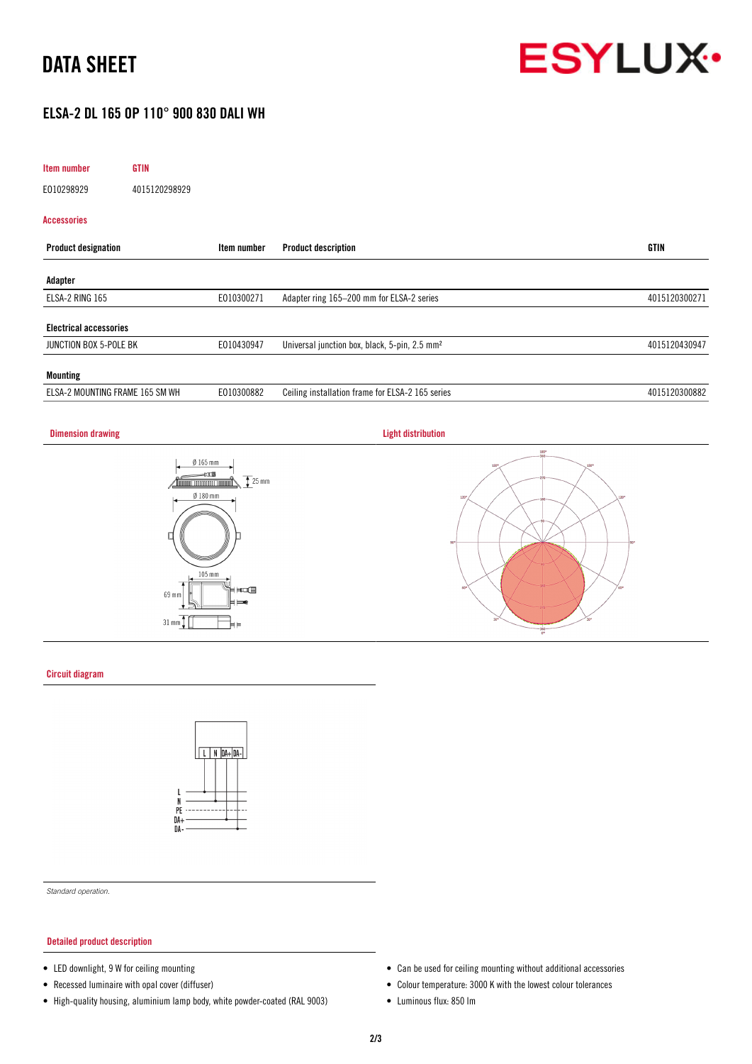# DATA SHEET



## ELSA-2 DL 165 OP 110° 900 830 DALI WH

| Item number<br><b>GTIN</b>      |               |                                                           |               |
|---------------------------------|---------------|-----------------------------------------------------------|---------------|
| E010298929                      | 4015120298929 |                                                           |               |
| Accessories                     |               |                                                           |               |
| <b>Product designation</b>      | Item number   | <b>Product description</b>                                | GTIN          |
| Adapter                         |               |                                                           |               |
| ELSA-2 RING 165                 | E010300271    | Adapter ring 165-200 mm for ELSA-2 series                 | 4015120300271 |
| <b>Electrical accessories</b>   |               |                                                           |               |
| JUNCTION BOX 5-POLE BK          | E010430947    | Universal junction box, black, 5-pin, 2.5 mm <sup>2</sup> | 4015120430947 |
| <b>Mounting</b>                 |               |                                                           |               |
| ELSA-2 MOUNTING FRAME 165 SM WH | E010300882    | Ceiling installation frame for ELSA-2 165 series          | 4015120300882 |

## **Dimension drawing Community Community Community Community Community Community Community Community Community Community**







#### Circuit diagram



*Standard operation.*

### Detailed product description

- LED downlight, 9 W for ceiling mounting
- Recessed luminaire with opal cover (diffuser)
- High-quality housing, aluminium lamp body, white powder-coated (RAL 9003)
- Can be used for ceiling mounting without additional accessories
- Colour temperature: 3000 K with the lowest colour tolerances
- Luminous flux: 850 lm